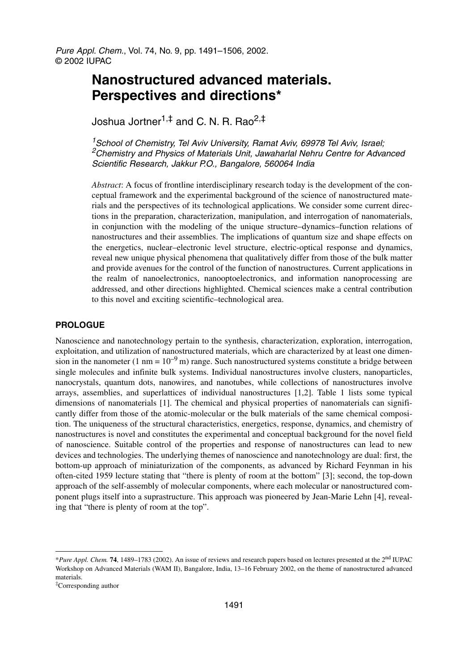# **Nanostructured advanced materials. Perspectives and directions\***

Joshua Jortner1,‡ and C. N. R. Rao2,‡

<sup>1</sup> School of Chemistry, Tel Aviv University, Ramat Aviv, 69978 Tel Aviv, Israel;  $2$ Chemistry and Physics of Materials Unit, Jawaharlal Nehru Centre for Advanced Scientific Research, Jakkur P.O., Bangalore, 560064 India

*Abstract*: A focus of frontline interdisciplinary research today is the development of the conceptual framework and the experimental background of the science of nanostructured materials and the perspectives of its technological applications. We consider some current directions in the preparation, characterization, manipulation, and interrogation of nanomaterials, in conjunction with the modeling of the unique structure–dynamics–function relations of nanostructures and their assemblies. The implications of quantum size and shape effects on the energetics, nuclear–electronic level structure, electric-optical response and dynamics, reveal new unique physical phenomena that qualitatively differ from those of the bulk matter and provide avenues for the control of the function of nanostructures. Current applications in the realm of nanoelectronics, nanooptoelectronics, and information nanoprocessing are addressed, and other directions highlighted. Chemical sciences make a central contribution to this novel and exciting scientific–technological area.

## **PROLOGUE**

Nanoscience and nanotechnology pertain to the synthesis, characterization, exploration, interrogation, exploitation, and utilization of nanostructured materials, which are characterized by at least one dimension in the nanometer (1 nm =  $10^{-9}$  m) range. Such nanostructured systems constitute a bridge between single molecules and infinite bulk systems. Individual nanostructures involve clusters, nanoparticles, nanocrystals, quantum dots, nanowires, and nanotubes, while collections of nanostructures involve arrays, assemblies, and superlattices of individual nanostructures [1,2]. Table 1 lists some typical dimensions of nanomaterials [1]. The chemical and physical properties of nanomaterials can significantly differ from those of the atomic-molecular or the bulk materials of the same chemical composition. The uniqueness of the structural characteristics, energetics, response, dynamics, and chemistry of nanostructures is novel and constitutes the experimental and conceptual background for the novel field of nanoscience. Suitable control of the properties and response of nanostructures can lead to new devices and technologies. The underlying themes of nanoscience and nanotechnology are dual: first, the bottom-up approach of miniaturization of the components, as advanced by Richard Feynman in his often-cited 1959 lecture stating that "there is plenty of room at the bottom" [3]; second, the top-down approach of the self-assembly of molecular components, where each molecular or nanostructured component plugs itself into a suprastructure. This approach was pioneered by Jean-Marie Lehn [4], revealing that "there is plenty of room at the top".

<sup>\*</sup>*Pure Appl. Chem.* **74**, 1489–1783 (2002). An issue of reviews and research papers based on lectures presented at the 2nd IUPAC Workshop on Advanced Materials (WAM II), Bangalore, India, 13–16 February 2002, on the theme of nanostructured advanced materials.

<sup>‡</sup> Corresponding author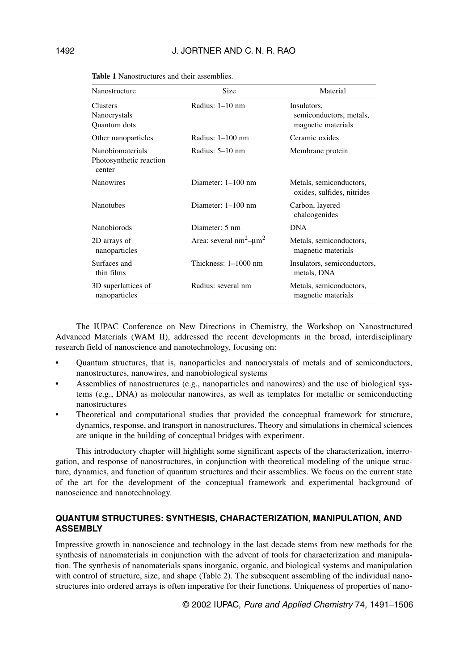| Nanostructure                                         | <b>Size</b>                      | Material                                                     |
|-------------------------------------------------------|----------------------------------|--------------------------------------------------------------|
| <b>Clusters</b><br>Nanocrystals<br>Quantum dots       | Radius: $1-10$ nm                | Insulators,<br>semiconductors, metals,<br>magnetic materials |
| Other nanoparticles                                   | Radius: $1-100$ nm               | Ceramic oxides                                               |
| Nanobiomaterials<br>Photosynthetic reaction<br>center | Radius: $5-10$ nm                | Membrane protein                                             |
| <b>Nanowires</b>                                      | Diameter: 1–100 nm               | Metals, semiconductors,<br>oxides, sulfides, nitrides        |
| <b>Nanotubes</b>                                      | Diameter: 1–100 nm               | Carbon, layered<br>chalcogenides                             |
| Nanobiorods                                           | Diameter: 5 nm                   | <b>DNA</b>                                                   |
| 2D arrays of<br>nanoparticles                         | Area: several $nm^2$ - $\mu m^2$ | Metals, semiconductors,<br>magnetic materials                |
| Surfaces and<br>thin films                            | Thickness: $1-1000$ nm           | Insulators, semiconductors,<br>metals, DNA                   |
| 3D superlattices of<br>nanoparticles                  | Radius: several nm               | Metals, semiconductors,<br>magnetic materials                |

**Table 1** Nanostructures and their assemblies.

The IUPAC Conference on New Directions in Chemistry, the Workshop on Nanostructured Advanced Materials (WAM II), addressed the recent developments in the broad, interdisciplinary research field of nanoscience and nanotechnology, focusing on:

- Quantum structures, that is, nanoparticles and nanocrystals of metals and of semiconductors, nanostructures, nanowires, and nanobiological systems
- Assemblies of nanostructures (e.g., nanoparticles and nanowires) and the use of biological systems (e.g., DNA) as molecular nanowires, as well as templates for metallic or semiconducting nanostructures
- Theoretical and computational studies that provided the conceptual framework for structure, dynamics, response, and transport in nanostructures. Theory and simulations in chemical sciences are unique in the building of conceptual bridges with experiment.

This introductory chapter will highlight some significant aspects of the characterization, interrogation, and response of nanostructures, in conjunction with theoretical modeling of the unique structure, dynamics, and function of quantum structures and their assemblies. We focus on the current state of the art for the development of the conceptual framework and experimental background of nanoscience and nanotechnology.

# **QUANTUM STRUCTURES: SYNTHESIS, CHARACTERIZATION, MANIPULATION, AND ASSEMBLY**

Impressive growth in nanoscience and technology in the last decade stems from new methods for the synthesis of nanomaterials in conjunction with the advent of tools for characterization and manipulation. The synthesis of nanomaterials spans inorganic, organic, and biological systems and manipulation with control of structure, size, and shape (Table 2). The subsequent assembling of the individual nanostructures into ordered arrays is often imperative for their functions. Uniqueness of properties of nano-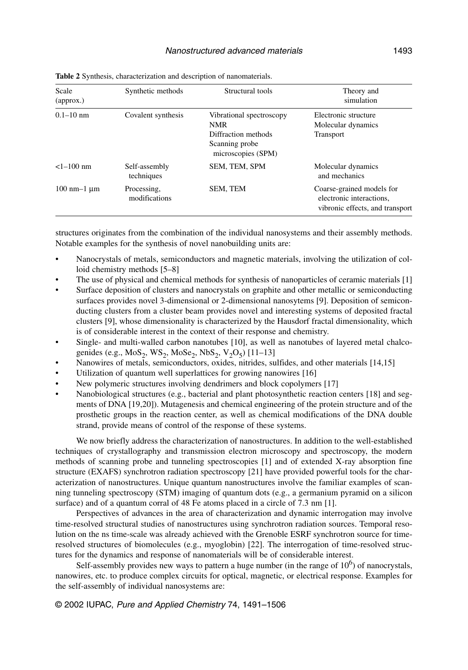| Scale<br>(approx.)              | Synthetic methods            | Structural tools                                                                                      | Theory and<br>simulation                                                                 |
|---------------------------------|------------------------------|-------------------------------------------------------------------------------------------------------|------------------------------------------------------------------------------------------|
| $0.1 - 10$ nm                   | Covalent synthesis           | Vibrational spectroscopy<br><b>NMR</b><br>Diffraction methods<br>Scanning probe<br>microscopies (SPM) | Electronic structure<br>Molecular dynamics<br><b>Transport</b>                           |
| $<1-100$ nm                     | Self-assembly<br>techniques  | SEM, TEM, SPM                                                                                         | Molecular dynamics<br>and mechanics                                                      |
| $100 \text{ nm} - 1 \text{ µm}$ | Processing,<br>modifications | SEM, TEM                                                                                              | Coarse-grained models for<br>electronic interactions.<br>vibronic effects, and transport |

**Table 2** Synthesis, characterization and description of nanomaterials.

structures originates from the combination of the individual nanosystems and their assembly methods. Notable examples for the synthesis of novel nanobuilding units are:

- Nanocrystals of metals, semiconductors and magnetic materials, involving the utilization of colloid chemistry methods [5–8]
- The use of physical and chemical methods for synthesis of nanoparticles of ceramic materials [1]
- Surface deposition of clusters and nanocrystals on graphite and other metallic or semiconducting surfaces provides novel 3-dimensional or 2-dimensional nanosytems [9]. Deposition of semiconducting clusters from a cluster beam provides novel and interesting systems of deposited fractal clusters [9], whose dimensionality is characterized by the Hausdorf fractal dimensionality, which is of considerable interest in the context of their response and chemistry.
- Single- and multi-walled carbon nanotubes [10], as well as nanotubes of layered metal chalcogenides (e.g.,  $MoS_2$ ,  $WS_2$ ,  $Mose_2$ ,  $NbS_2$ ,  $V_2O_5$ ) [11–13]
- Nanowires of metals, semiconductors, oxides, nitrides, sulfides, and other materials [14,15]
- Utilization of quantum well superlattices for growing nanowires [16]
- New polymeric structures involving dendrimers and block copolymers [17]
- Nanobiological structures (e.g., bacterial and plant photosynthetic reaction centers [18] and segments of DNA [19,20]). Mutagenesis and chemical engineering of the protein structure and of the prosthetic groups in the reaction center, as well as chemical modifications of the DNA double strand, provide means of control of the response of these systems.

We now briefly address the characterization of nanostructures. In addition to the well-established techniques of crystallography and transmission electron microscopy and spectroscopy, the modern methods of scanning probe and tunneling spectroscopies [1] and of extended X-ray absorption fine structure (EXAFS) synchrotron radiation spectroscopy [21] have provided powerful tools for the characterization of nanostructures. Unique quantum nanostructures involve the familiar examples of scanning tunneling spectroscopy (STM) imaging of quantum dots (e.g., a germanium pyramid on a silicon surface) and of a quantum corral of 48 Fe atoms placed in a circle of 7.3 nm [1].

Perspectives of advances in the area of characterization and dynamic interrogation may involve time-resolved structural studies of nanostructures using synchrotron radiation sources. Temporal resolution on the ns time-scale was already achieved with the Grenoble ESRF synchrotron source for timeresolved structures of biomolecules (e.g., myoglobin) [22]. The interrogation of time-resolved structures for the dynamics and response of nanomaterials will be of considerable interest.

Self-assembly provides new ways to pattern a huge number (in the range of  $10<sup>6</sup>$ ) of nanocrystals, nanowires, etc. to produce complex circuits for optical, magnetic, or electrical response. Examples for the self-assembly of individual nanosystems are: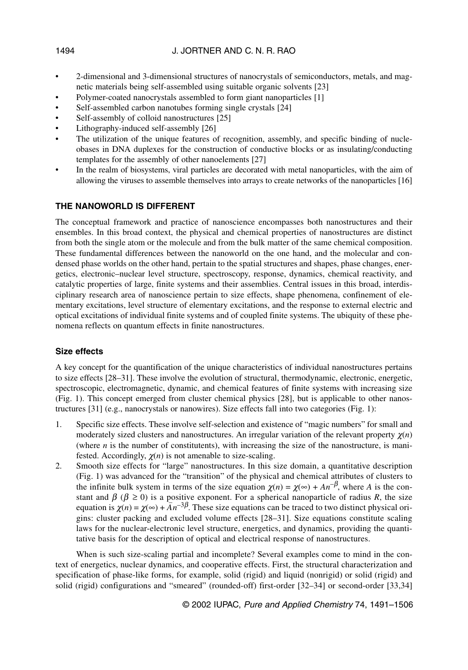- 2-dimensional and 3-dimensional structures of nanocrystals of semiconductors, metals, and magnetic materials being self-assembled using suitable organic solvents [23]
- Polymer-coated nanocrystals assembled to form giant nanoparticles [1]
- Self-assembled carbon nanotubes forming single crystals [24]
- Self-assembly of colloid nanostructures [25]
- Lithography-induced self-assembly [26]
- The utilization of the unique features of recognition, assembly, and specific binding of nucleobases in DNA duplexes for the construction of conductive blocks or as insulating/conducting templates for the assembly of other nanoelements [27]
- In the realm of biosystems, viral particles are decorated with metal nanoparticles, with the aim of allowing the viruses to assemble themselves into arrays to create networks of the nanoparticles [16]

# **THE NANOWORLD IS DIFFERENT**

The conceptual framework and practice of nanoscience encompasses both nanostructures and their ensembles. In this broad context, the physical and chemical properties of nanostructures are distinct from both the single atom or the molecule and from the bulk matter of the same chemical composition. These fundamental differences between the nanoworld on the one hand, and the molecular and condensed phase worlds on the other hand, pertain to the spatial structures and shapes, phase changes, energetics, electronic–nuclear level structure, spectroscopy, response, dynamics, chemical reactivity, and catalytic properties of large, finite systems and their assemblies. Central issues in this broad, interdisciplinary research area of nanoscience pertain to size effects, shape phenomena, confinement of elementary excitations, level structure of elementary excitations, and the response to external electric and optical excitations of individual finite systems and of coupled finite systems. The ubiquity of these phenomena reflects on quantum effects in finite nanostructures.

# **Size effects**

A key concept for the quantification of the unique characteristics of individual nanostructures pertains to size effects [28–31]. These involve the evolution of structural, thermodynamic, electronic, energetic, spectroscopic, electromagnetic, dynamic, and chemical features of finite systems with increasing size (Fig. 1). This concept emerged from cluster chemical physics [28], but is applicable to other nanostructures [31] (e.g., nanocrystals or nanowires). Size effects fall into two categories (Fig. 1):

- 1. Specific size effects. These involve self-selection and existence of "magic numbers" for small and moderately sized clusters and nanostructures. An irregular variation of the relevant property  $\chi(n)$ (where  $n$  is the number of constitutents), with increasing the size of the nanostructure, is manifested. Accordingly,  $\chi(n)$  is not amenable to size-scaling.
- 2. Smooth size effects for "large" nanostructures. In this size domain, a quantitative description (Fig. 1) was advanced for the "transition" of the physical and chemical attributes of clusters to the infinite bulk system in terms of the size equation  $\chi(n) = \chi(\infty) + An^{-\beta}$ , where *A* is the constant and  $\beta$  ( $\beta \ge 0$ ) is a positive exponent. For a spherical nanoparticle of radius *R*, the size equation is  $\chi(n) = \chi(\infty) + \bar{A}n^{-3\beta}$ . These size equations can be traced to two distinct physical origins: cluster packing and excluded volume effects [28–31]. Size equations constitute scaling laws for the nuclear-electronic level structure, energetics, and dynamics, providing the quantitative basis for the description of optical and electrical response of nanostructures.

When is such size-scaling partial and incomplete? Several examples come to mind in the context of energetics, nuclear dynamics, and cooperative effects. First, the structural characterization and specification of phase-like forms, for example, solid (rigid) and liquid (nonrigid) or solid (rigid) and solid (rigid) configurations and "smeared" (rounded-off) first-order [32–34] or second-order [33,34]

© 2002 IUPAC, Pure and Applied Chemistry 74, 1491–1506

## 1494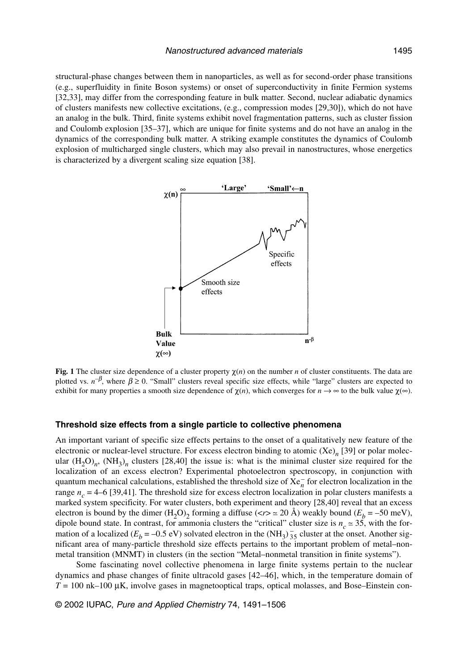structural-phase changes between them in nanoparticles, as well as for second-order phase transitions (e.g., superfluidity in finite Boson systems) or onset of superconductivity in finite Fermion systems [32,33], may differ from the corresponding feature in bulk matter. Second, nuclear adiabatic dynamics of clusters manifests new collective excitations, (e.g., compression modes [29,30]), which do not have an analog in the bulk. Third, finite systems exhibit novel fragmentation patterns, such as cluster fission and Coulomb explosion [35–37], which are unique for finite systems and do not have an analog in the dynamics of the corresponding bulk matter. A striking example constitutes the dynamics of Coulomb explosion of multicharged single clusters, which may also prevail in nanostructures, whose energetics is characterized by a divergent scaling size equation [38].



**Fig. 1** The cluster size dependence of a cluster property  $\chi(n)$  on the number *n* of cluster constituents. The data are plotted vs.  $n^{-\beta}$ , where  $\beta \ge 0$ . "Small" clusters reveal specific size effects, while "large" clusters are expected to exhibit for many properties a smooth size dependence of  $\chi(n)$ , which converges for  $n \to \infty$  to the bulk value  $\chi(\infty)$ .

#### **Threshold size effects from a single particle to collective phenomena**

An important variant of specific size effects pertains to the onset of a qualitatively new feature of the electronic or nuclear-level structure. For excess electron binding to atomic (Xe)<sub>n</sub> [39] or polar molecular  $(H_2O)<sub>n</sub>$ ,  $(NH_3)<sub>n</sub>$  clusters [28,40] the issue is: what is the minimal cluster size required for the localization of an excess electron? Experimental photoelectron spectroscopy, in conjunction with quantum mechanical calculations, established the threshold size of  $Xe_n^-$  for electron localization in the range  $n_c = 4-6$  [39,41]. The threshold size for excess electron localization in polar clusters manifests a marked system specificity. For water clusters, both experiment and theory [28,40] reveal that an excess electron is bound by the dimer  $(H_2O)_2$  forming a diffuse ( $\langle r \rangle \approx 20$  Å) weakly bound ( $E_b = -50$  meV), dipole bound state. In contrast, for ammonia clusters the "critical" cluster size is  $n_c \approx 35$ , with the formation of a localized ( $E_b$  = –0.5 eV) solvated electron in the (NH<sub>3</sub>) $\frac{1}{35}$  cluster at the onset. Another significant area of many-particle threshold size effects pertains to the important problem of metal–nonmetal transition (MNMT) in clusters (in the section "Metal–nonmetal transition in finite systems").

Some fascinating novel collective phenomena in large finite systems pertain to the nuclear dynamics and phase changes of finite ultracold gases [42–46], which, in the temperature domain of  $T = 100$  nk–100  $\mu$ K, involve gases in magnetooptical traps, optical molasses, and Bose–Einstein con-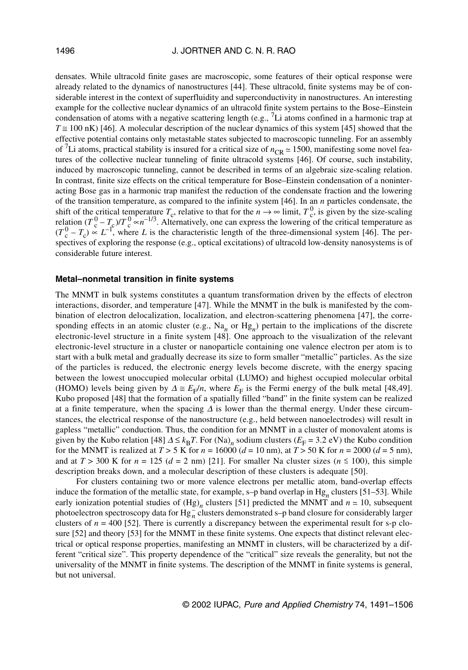densates. While ultracold finite gases are macroscopic, some features of their optical response were already related to the dynamics of nanostructures [44]. These ultracold, finite systems may be of considerable interest in the context of superfluidity and superconductivity in nanostructures. An interesting example for the collective nuclear dynamics of an ultracold finite system pertains to the Bose–Einstein condensation of atoms with a negative scattering length (e.g.,  $^7$ Li atoms confined in a harmonic trap at  $T \approx 100 \text{ nK}$  [46]. A molecular description of the nuclear dynamics of this system [45] showed that the effective potential contains only metastable states subjected to macroscopic tunneling. For an assembly of <sup>7</sup>Li atoms, practical stability is insured for a critical size of  $n_{CR} \approx 1500$ , manifesting some novel features of the collective nuclear tunneling of finite ultracold systems [46]. Of course, such instability, induced by macroscopic tunneling, cannot be described in terms of an algebraic size-scaling relation. In contrast, finite size effects on the critical temperature for Bose–Einstein condensation of a noninteracting Bose gas in a harmonic trap manifest the reduction of the condensate fraction and the lowering of the transition temperature, as compared to the infinite system [46]. In an *n* particles condensate, the shift of the critical temperature  $T_c$ , relative to that for the  $n \to \infty$  limit,  $T_c^0$ , is given by the size-scaling relation  $(T_c^0 - T_c)/T_c^0 \propto n^{-1/3}$ . Alternatively, one can express the lowering of the critical temperature as  $(T_c^0 - T_c) \propto L^{-1}$ , where *L* is the characteristic length of the three-dimensional system [46]. The perspectives of exploring the response (e.g., optical excitations) of ultracold low-density nanosystems is of considerable future interest.

## **Metal–nonmetal transition in finite systems**

The MNMT in bulk systems constitutes a quantum transformation driven by the effects of electron interactions, disorder, and temperature [47]. While the MNMT in the bulk is manifested by the combination of electron delocalization, localization, and electron-scattering phenomena [47], the corresponding effects in an atomic cluster (e.g., Na*<sup>n</sup>* or Hg*n*) pertain to the implications of the discrete electronic-level structure in a finite system [48]. One approach to the visualization of the relevant electronic-level structure in a cluster or nanoparticle containing one valence electron per atom is to start with a bulk metal and gradually decrease its size to form smaller "metallic" particles. As the size of the particles is reduced, the electronic energy levels become discrete, with the energy spacing between the lowest unoccupied molecular orbital (LUMO) and highest occupied molecular orbital (HOMO) levels being given by  $\Delta \cong E_F/n$ , where  $E_F$  is the Fermi energy of the bulk metal [48,49]. Kubo proposed [48] that the formation of a spatially filled "band" in the finite system can be realized at a finite temperature, when the spacing  $\Delta$  is lower than the thermal energy. Under these circumstances, the electrical response of the nanostructure (e.g., held between nanoelectrodes) will result in gapless "metallic" conduction. Thus, the condition for an MNMT in a cluster of monovalent atoms is given by the Kubo relation [48]  $\Delta \le k_B T$ . For  $(Na)_n$  sodium clusters ( $E_F = 3.2$  eV) the Kubo condition for the MNMT is realized at  $T > 5$  K for  $n = 16000$  ( $d = 10$  nm), at  $T > 50$  K for  $n = 2000$  ( $d = 5$  nm), and at  $T > 300$  K for  $n = 125$  ( $d = 2$  nm) [21]. For smaller Na cluster sizes ( $n \le 100$ ), this simple description breaks down, and a molecular description of these clusters is adequate [50].

For clusters containing two or more valence electrons per metallic atom, band-overlap effects induce the formation of the metallic state, for example, s–p band overlap in Hg*<sup>n</sup>* clusters [51–53]. While early ionization potential studies of  $(Hg)$ <sub>n</sub> clusters [51] predicted the MNMT and  $n \approx 10$ , subsequent photoelectron spectroscopy data for  $Hg_n^-$  clusters demonstrated s–p band closure for considerably larger clusters of  $n = 400$  [52]. There is currently a discrepancy between the experimental result for s-p closure [52] and theory [53] for the MNMT in these finite systems. One expects that distinct relevant electrical or optical response properties, manifesting an MNMT in clusters, will be characterized by a different "critical size". This property dependence of the "critical" size reveals the generality, but not the universality of the MNMT in finite systems. The description of the MNMT in finite systems is general, but not universal.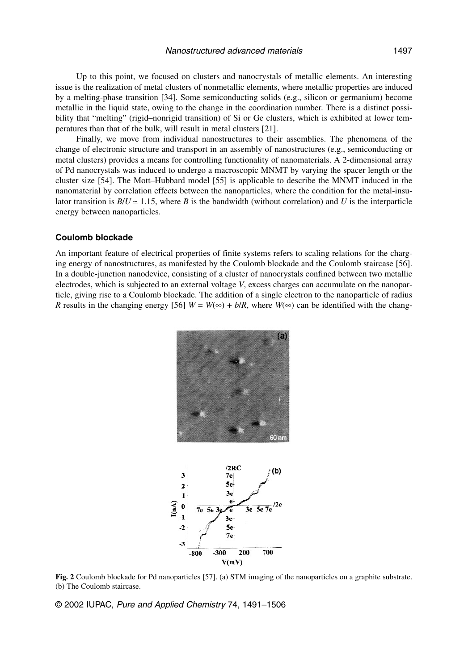Up to this point, we focused on clusters and nanocrystals of metallic elements. An interesting issue is the realization of metal clusters of nonmetallic elements, where metallic properties are induced by a melting-phase transition [34]. Some semiconducting solids (e.g., silicon or germanium) become metallic in the liquid state, owing to the change in the coordination number. There is a distinct possibility that "melting" (rigid–nonrigid transition) of Si or Ge clusters, which is exhibited at lower temperatures than that of the bulk, will result in metal clusters [21].

Finally, we move from individual nanostructures to their assemblies. The phenomena of the change of electronic structure and transport in an assembly of nanostructures (e.g., semiconducting or metal clusters) provides a means for controlling functionality of nanomaterials. A 2-dimensional array of Pd nanocrystals was induced to undergo a macroscopic MNMT by varying the spacer length or the cluster size [54]. The Mott–Hubbard model [55] is applicable to describe the MNMT induced in the nanomaterial by correlation effects between the nanoparticles, where the condition for the metal-insulator transition is  $B/U \approx 1.15$ , where *B* is the bandwidth (without correlation) and *U* is the interparticle energy between nanoparticles.

#### **Coulomb blockade**

An important feature of electrical properties of finite systems refers to scaling relations for the charging energy of nanostructures, as manifested by the Coulomb blockade and the Coulomb staircase [56]. In a double-junction nanodevice, consisting of a cluster of nanocrystals confined between two metallic electrodes, which is subjected to an external voltage *V*, excess charges can accumulate on the nanoparticle, giving rise to a Coulomb blockade. The addition of a single electron to the nanoparticle of radius *R* results in the changing energy [56]  $W = W(\infty) + b/R$ , where  $W(\infty)$  can be identified with the chang-



**Fig. 2** Coulomb blockade for Pd nanoparticles [57]. (a) STM imaging of the nanoparticles on a graphite substrate. (b) The Coulomb staircase.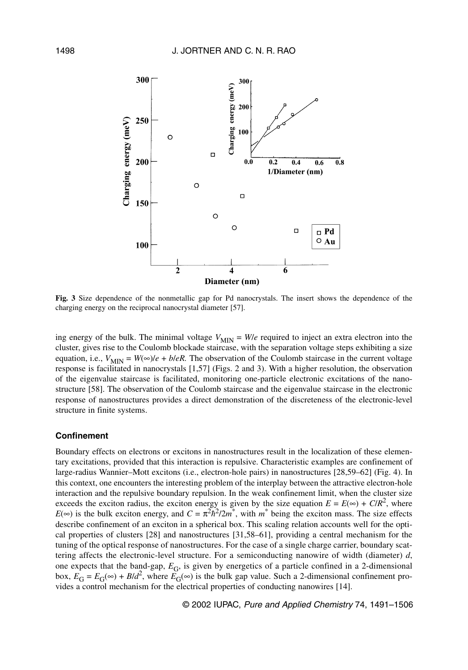

**Fig. 3** Size dependence of the nonmetallic gap for Pd nanocrystals. The insert shows the dependence of the charging energy on the reciprocal nanocrystal diameter [57].

ing energy of the bulk. The minimal voltage  $V_{\text{MIN}} = W/e$  required to inject an extra electron into the cluster, gives rise to the Coulomb blockade staircase, with the separation voltage steps exhibiting a size equation, i.e.,  $V_{\text{MIN}} = W(\infty)/e + b/eR$ . The observation of the Coulomb staircase in the current voltage response is facilitated in nanocrystals [1,57] (Figs. 2 and 3). With a higher resolution, the observation of the eigenvalue staircase is facilitated, monitoring one-particle electronic excitations of the nanostructure [58]. The observation of the Coulomb staircase and the eigenvalue staircase in the electronic response of nanostructures provides a direct demonstration of the discreteness of the electronic-level structure in finite systems.

#### **Confinement**

Boundary effects on electrons or excitons in nanostructures result in the localization of these elementary excitations, provided that this interaction is repulsive. Characteristic examples are confinement of large-radius Wannier–Mott excitons (i.e., electron-hole pairs) in nanostructures [28,59–62] (Fig. 4). In this context, one encounters the interesting problem of the interplay between the attractive electron-hole interaction and the repulsive boundary repulsion. In the weak confinement limit, when the cluster size exceeds the exciton radius, the exciton energy is given by the size equation  $E = E(\infty) + C/R^2$ , where  $E(\infty)$  is the bulk exciton energy, and  $C = \frac{\pi^2 \hbar^2}{2m^2}$ , with  $m^2$  being the exciton mass. The size effects describe confinement of an exciton in a spherical box. This scaling relation accounts well for the optical properties of clusters [28] and nanostructures [31,58–61], providing a central mechanism for the tuning of the optical response of nanostructures. For the case of a single charge carrier, boundary scattering affects the electronic-level structure. For a semiconducting nanowire of width (diameter) *d*, one expects that the band-gap,  $E_G$ , is given by energetics of a particle confined in a 2-dimensional box,  $E_G = E_G(\infty) + B/d^2$ , where  $\tilde{E_G}(\infty)$  is the bulk gap value. Such a 2-dimensional confinement provides a control mechanism for the electrical properties of conducting nanowires [14].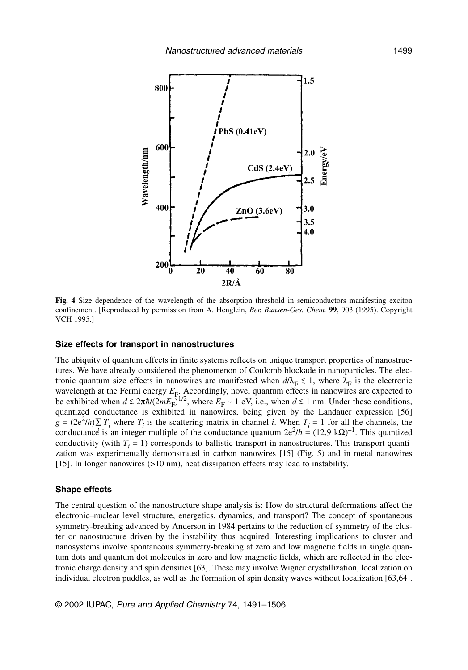

**Fig. 4** Size dependence of the wavelength of the absorption threshold in semiconductors manifesting exciton confinement. [Reproduced by permission from A. Henglein, *Ber. Bunsen-Ges. Chem.* **99**, 903 (1995). Copyright VCH 1995.]

#### **Size effects for transport in nanostructures**

The ubiquity of quantum effects in finite systems reflects on unique transport properties of nanostructures. We have already considered the phenomenon of Coulomb blockade in nanoparticles. The electronic quantum size effects in nanowires are manifested when  $d/\lambda_F \leq 1$ , where  $\lambda_F$  is the electronic wavelength at the Fermi energy  $E_{F_{1/2}}$  Accordingly, novel quantum effects in nanowires are expected to be exhibited when  $d \leq 2\pi\hbar/(2mE_F)^{1/2}$ , where  $E_F \sim 1$  eV, i.e., when  $d \leq 1$  nm. Under these conditions, quantized conductance is exhibited in nanowires, being given by the Landauer expression [56]  $g = (2e^2/h)\sum_i T_i$  where  $T_i$  is the scattering matrix in channel *i*. When  $T_i = 1$  for all the channels, the conductance is an integer multiple of the conductance quantum  $2e^2/h = (12.9 \text{ k}\Omega)^{-1}$ . This quantized conductivity (with  $T_i = 1$ ) corresponds to ballistic transport in nanostructures. This transport quantization was experimentally demonstrated in carbon nanowires [15] (Fig. 5) and in metal nanowires [15]. In longer nanowires (>10 nm), heat dissipation effects may lead to instability.

#### **Shape effects**

The central question of the nanostructure shape analysis is: How do structural deformations affect the electronic–nuclear level structure, energetics, dynamics, and transport? The concept of spontaneous symmetry-breaking advanced by Anderson in 1984 pertains to the reduction of symmetry of the cluster or nanostructure driven by the instability thus acquired. Interesting implications to cluster and nanosystems involve spontaneous symmetry-breaking at zero and low magnetic fields in single quantum dots and quantum dot molecules in zero and low magnetic fields, which are reflected in the electronic charge density and spin densities [63]. These may involve Wigner crystallization, localization on individual electron puddles, as well as the formation of spin density waves without localization [63,64].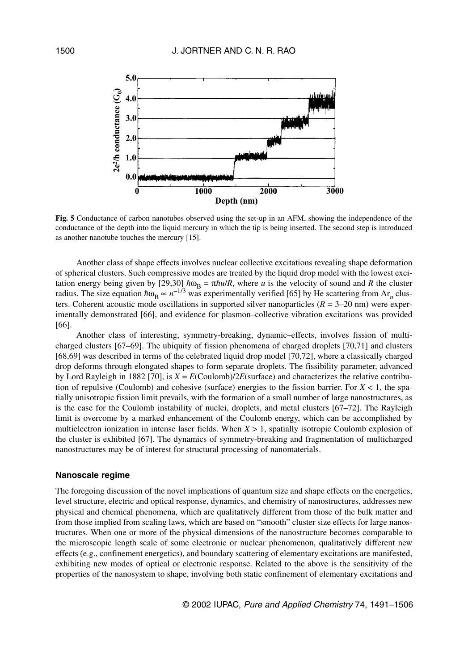

**Fig. 5** Conductance of carbon nanotubes observed using the set-up in an AFM, showing the independence of the conductance of the depth into the liquid mercury in which the tip is being inserted. The second step is introduced as another nanotube touches the mercury [15].

Another class of shape effects involves nuclear collective excitations revealing shape deformation of spherical clusters. Such compressive modes are treated by the liquid drop model with the lowest excitation energy being given by [29,30]  $\hbar \omega_B = \pi \hbar u/R$ , where *u* is the velocity of sound and *R* the cluster radius. The size equation  $\hbar \omega_B \propto n^{-1/3}$  was experimentally verified [65] by He scattering from Ar<sub>n</sub> clusters. Coherent acoustic mode oscillations in supported silver nanoparticles (*R* = 3–20 nm) were experimentally demonstrated [66], and evidence for plasmon–collective vibration excitations was provided [66].

Another class of interesting, symmetry-breaking, dynamic–effects, involves fission of multicharged clusters [67–69]. The ubiquity of fission phenomena of charged droplets [70,71] and clusters [68,69] was described in terms of the celebrated liquid drop model [70,72], where a classically charged drop deforms through elongated shapes to form separate droplets. The fissibility parameter, advanced by Lord Rayleigh in 1882 [70], is  $X = E$ (Coulomb)/2 $E$ (surface) and characterizes the relative contribution of repulsive (Coulomb) and cohesive (surface) energies to the fission barrier. For  $X < 1$ , the spatially unisotropic fission limit prevails, with the formation of a small number of large nanostructures, as is the case for the Coulomb instability of nuclei, droplets, and metal clusters [67–72]. The Rayleigh limit is overcome by a marked enhancement of the Coulomb energy, which can be accomplished by multielectron ionization in intense laser fields. When *X* > 1, spatially isotropic Coulomb explosion of the cluster is exhibited [67]. The dynamics of symmetry-breaking and fragmentation of multicharged nanostructures may be of interest for structural processing of nanomaterials.

#### **Nanoscale regime**

The foregoing discussion of the novel implications of quantum size and shape effects on the energetics, level structure, electric and optical response, dynamics, and chemistry of nanostructures, addresses new physical and chemical phenomena, which are qualitatively different from those of the bulk matter and from those implied from scaling laws, which are based on "smooth" cluster size effects for large nanostructures. When one or more of the physical dimensions of the nanostructure becomes comparable to the microscopic length scale of some electronic or nuclear phenomenon, qualitatively different new effects (e.g., confinement energetics), and boundary scattering of elementary excitations are manifested, exhibiting new modes of optical or electronic response. Related to the above is the sensitivity of the properties of the nanosystem to shape, involving both static confinement of elementary excitations and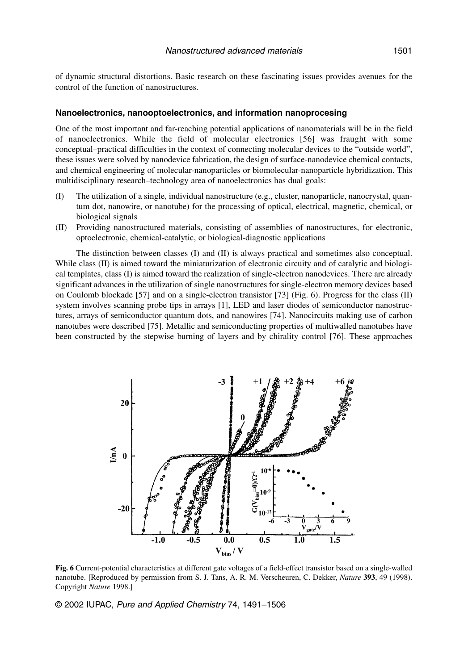of dynamic structural distortions. Basic research on these fascinating issues provides avenues for the control of the function of nanostructures.

#### **Nanoelectronics, nanooptoelectronics, and information nanoprocesing**

One of the most important and far-reaching potential applications of nanomaterials will be in the field of nanoelectronics. While the field of molecular electronics [56] was fraught with some conceptual–practical difficulties in the context of connecting molecular devices to the "outside world", these issues were solved by nanodevice fabrication, the design of surface-nanodevice chemical contacts, and chemical engineering of molecular-nanoparticles or biomolecular-nanoparticle hybridization. This multidisciplinary research–technology area of nanoelectronics has dual goals:

- (I) The utilization of a single, individual nanostructure (e.g., cluster, nanoparticle, nanocrystal, quantum dot, nanowire, or nanotube) for the processing of optical, electrical, magnetic, chemical, or biological signals
- (II) Providing nanostructured materials, consisting of assemblies of nanostructures, for electronic, optoelectronic, chemical-catalytic, or biological-diagnostic applications

The distinction between classes (I) and (II) is always practical and sometimes also conceptual. While class (II) is aimed toward the miniaturization of electronic circuity and of catalytic and biological templates, class (I) is aimed toward the realization of single-electron nanodevices. There are already significant advances in the utilization of single nanostructures for single-electron memory devices based on Coulomb blockade [57] and on a single-electron transistor [73] (Fig. 6). Progress for the class (II) system involves scanning probe tips in arrays [1], LED and laser diodes of semiconductor nanostructures, arrays of semiconductor quantum dots, and nanowires [74]. Nanocircuits making use of carbon nanotubes were described [75]. Metallic and semiconducting properties of multiwalled nanotubes have been constructed by the stepwise burning of layers and by chirality control [76]. These approaches



**Fig. 6** Current-potential characteristics at different gate voltages of a field-effect transistor based on a single-walled nanotube. [Reproduced by permission from S. J. Tans, A. R. M. Verscheuren, C. Dekker, *Nature* **393**, 49 (1998). Copyright *Nature* 1998.]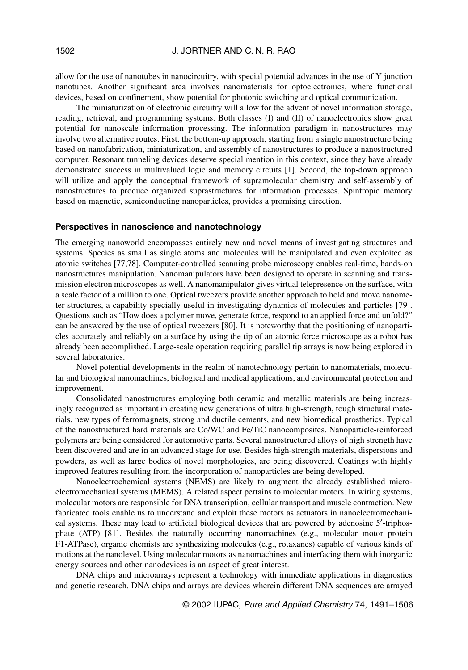allow for the use of nanotubes in nanocircuitry, with special potential advances in the use of Y junction nanotubes. Another significant area involves nanomaterials for optoelectronics, where functional devices, based on confinement, show potential for photonic switching and optical communication.

The miniaturization of electronic circuitry will allow for the advent of novel information storage, reading, retrieval, and programming systems. Both classes (I) and (II) of nanoelectronics show great potential for nanoscale information processing. The information paradigm in nanostructures may involve two alternative routes. First, the bottom-up approach, starting from a single nanostructure being based on nanofabrication, miniaturization, and assembly of nanostructures to produce a nanostructured computer. Resonant tunneling devices deserve special mention in this context, since they have already demonstrated success in multivalued logic and memory circuits [1]. Second, the top-down approach will utilize and apply the conceptual framework of supramolecular chemistry and self-assembly of nanostructures to produce organized suprastructures for information processes. Spintropic memory based on magnetic, semiconducting nanoparticles, provides a promising direction.

#### **Perspectives in nanoscience and nanotechnology**

The emerging nanoworld encompasses entirely new and novel means of investigating structures and systems. Species as small as single atoms and molecules will be manipulated and even exploited as atomic switches [77,78]. Computer-controlled scanning probe microscopy enables real-time, hands-on nanostructures manipulation. Nanomanipulators have been designed to operate in scanning and transmission electron microscopes as well. A nanomanipulator gives virtual telepresence on the surface, with a scale factor of a million to one. Optical tweezers provide another approach to hold and move nanometer structures, a capability specially useful in investigating dynamics of molecules and particles [79]. Questions such as "How does a polymer move, generate force, respond to an applied force and unfold?" can be answered by the use of optical tweezers [80]. It is noteworthy that the positioning of nanoparticles accurately and reliably on a surface by using the tip of an atomic force microscope as a robot has already been accomplished. Large-scale operation requiring parallel tip arrays is now being explored in several laboratories.

Novel potential developments in the realm of nanotechnology pertain to nanomaterials, molecular and biological nanomachines, biological and medical applications, and environmental protection and improvement.

Consolidated nanostructures employing both ceramic and metallic materials are being increasingly recognized as important in creating new generations of ultra high-strength, tough structural materials, new types of ferromagnets, strong and ductile cements, and new biomedical prosthetics. Typical of the nanostructured hard materials are Co/WC and Fe/TiC nanocomposites. Nanoparticle-reinforced polymers are being considered for automotive parts. Several nanostructured alloys of high strength have been discovered and are in an advanced stage for use. Besides high-strength materials, dispersions and powders, as well as large bodies of novel morphologies, are being discovered. Coatings with highly improved features resulting from the incorporation of nanoparticles are being developed.

Nanoelectrochemical systems (NEMS) are likely to augment the already established microelectromechanical systems (MEMS). A related aspect pertains to molecular motors. In wiring systems, molecular motors are responsible for DNA transcription, cellular transport and muscle contraction. New fabricated tools enable us to understand and exploit these motors as actuators in nanoelectromechanical systems. These may lead to artificial biological devices that are powered by adenosine 5′-triphosphate (ATP) [81]. Besides the naturally occurring nanomachines (e.g., molecular motor protein F1-ATPase), organic chemists are synthesizing molecules (e.g., rotaxanes) capable of various kinds of motions at the nanolevel. Using molecular motors as nanomachines and interfacing them with inorganic energy sources and other nanodevices is an aspect of great interest.

DNA chips and microarrays represent a technology with immediate applications in diagnostics and genetic research. DNA chips and arrays are devices wherein different DNA sequences are arrayed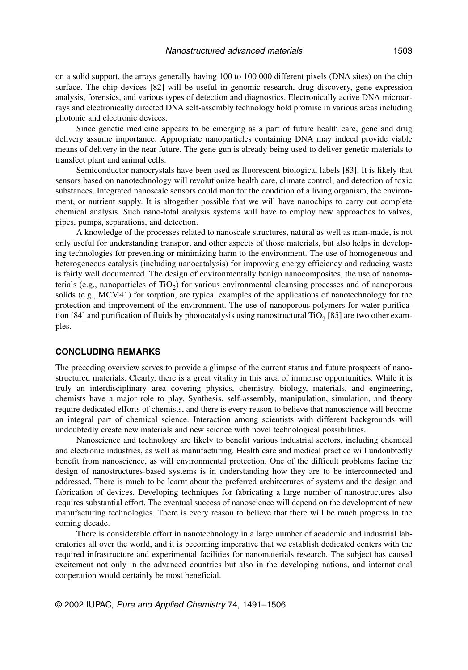on a solid support, the arrays generally having 100 to 100 000 different pixels (DNA sites) on the chip surface. The chip devices [82] will be useful in genomic research, drug discovery, gene expression analysis, forensics, and various types of detection and diagnostics. Electronically active DNA microarrays and electronically directed DNA self-assembly technology hold promise in various areas including photonic and electronic devices.

Since genetic medicine appears to be emerging as a part of future health care, gene and drug delivery assume importance. Appropriate nanoparticles containing DNA may indeed provide viable means of delivery in the near future. The gene gun is already being used to deliver genetic materials to transfect plant and animal cells.

Semiconductor nanocrystals have been used as fluorescent biological labels [83]. It is likely that sensors based on nanotechnology will revolutionize health care, climate control, and detection of toxic substances. Integrated nanoscale sensors could monitor the condition of a living organism, the environment, or nutrient supply. It is altogether possible that we will have nanochips to carry out complete chemical analysis. Such nano-total analysis systems will have to employ new approaches to valves, pipes, pumps, separations, and detection.

A knowledge of the processes related to nanoscale structures, natural as well as man-made, is not only useful for understanding transport and other aspects of those materials, but also helps in developing technologies for preventing or minimizing harm to the environment. The use of homogeneous and heterogeneous catalysis (including nanocatalysis) for improving energy efficiency and reducing waste is fairly well documented. The design of environmentally benign nanocomposites, the use of nanomaterials (e.g., nanoparticles of  $TiO<sub>2</sub>$ ) for various environmental cleansing processes and of nanoporous solids (e.g., MCM41) for sorption, are typical examples of the applications of nanotechnology for the protection and improvement of the environment. The use of nanoporous polymers for water purification [84] and purification of fluids by photocatalysis using nanostructural  $TiO<sub>2</sub>$  [85] are two other examples.

#### **CONCLUDING REMARKS**

The preceding overview serves to provide a glimpse of the current status and future prospects of nanostructured materials. Clearly, there is a great vitality in this area of immense opportunities. While it is truly an interdisciplinary area covering physics, chemistry, biology, materials, and engineering, chemists have a major role to play. Synthesis, self-assembly, manipulation, simulation, and theory require dedicated efforts of chemists, and there is every reason to believe that nanoscience will become an integral part of chemical science. Interaction among scientists with different backgrounds will undoubtedly create new materials and new science with novel technological possibilities.

Nanoscience and technology are likely to benefit various industrial sectors, including chemical and electronic industries, as well as manufacturing. Health care and medical practice will undoubtedly benefit from nanoscience, as will environmental protection. One of the difficult problems facing the design of nanostructures-based systems is in understanding how they are to be interconnected and addressed. There is much to be learnt about the preferred architectures of systems and the design and fabrication of devices. Developing techniques for fabricating a large number of nanostructures also requires substantial effort. The eventual success of nanoscience will depend on the development of new manufacturing technologies. There is every reason to believe that there will be much progress in the coming decade.

There is considerable effort in nanotechnology in a large number of academic and industrial laboratories all over the world, and it is becoming imperative that we establish dedicated centers with the required infrastructure and experimental facilities for nanomaterials research. The subject has caused excitement not only in the advanced countries but also in the developing nations, and international cooperation would certainly be most beneficial.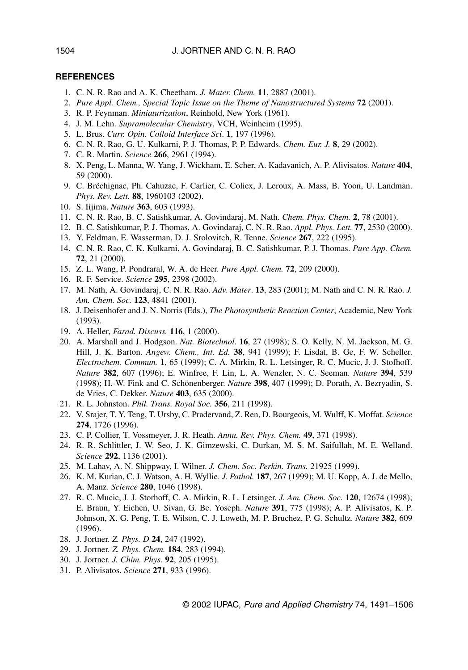## **REFERENCES**

- 1. C. N. R. Rao and A. K. Cheetham. *J. Mater. Chem.* **11**, 2887 (2001).
- 2. *Pure Appl. Chem., Special Topic Issue on the Theme of Nanostructured Systems* **72** (2001).
- 3. R. P. Feynman. *Miniaturization*, Reinhold, New York (1961).
- 4. J. M. Lehn. *Supramolecular Chemistry*, VCH, Weinheim (1995).
- 5. L. Brus. *Curr. Opin. Colloid Interface Sci*. **1**, 197 (1996).
- 6. C. N. R. Rao, G. U. Kulkarni, P. J. Thomas, P. P. Edwards. *Chem. Eur. J.* **8**, 29 (2002).
- 7. C. R. Martin. *Science* **266**, 2961 (1994).
- 8. X. Peng, L. Manna, W. Yang, J. Wickham, E. Scher, A. Kadavanich, A. P. Alivisatos. *Nature* **404**, 59 (2000).
- 9. C. Bréchignac, Ph. Cahuzac, F. Carlier, C. Coliex, J. Leroux, A. Mass, B. Yoon, U. Landman. *Phys. Rev. Lett.* **88**, 1960103 (2002).
- 10. S. Iijima. *Nature* **363**, 603 (1993).
- 11. C. N. R. Rao, B. C. Satishkumar, A. Govindaraj, M. Nath. *Chem. Phys. Chem.* **2**, 78 (2001).
- 12. B. C. Satishkumar, P. J. Thomas, A. Govindaraj, C. N. R. Rao. *Appl. Phys. Lett.* **77**, 2530 (2000).
- 13. Y. Feldman, E. Wasserman, D. J. Srolovitch, R. Tenne. *Science* **267**, 222 (1995).
- 14. C. N. R. Rao, C. K. Kulkarni, A. Govindaraj, B. C. Satishkumar, P. J. Thomas. *Pure App. Chem.* **72**, 21 (2000).
- 15. Z. L. Wang, P. Pondraral, W. A. de Heer. *Pure Appl. Chem.* **72**, 209 (2000).
- 16. R. F. Service. *Science* **295**, 2398 (2002).
- 17. M. Nath, A. Govindaraj, C. N. R. Rao. *Adv. Mater*. **13**, 283 (2001); M. Nath and C. N. R. Rao. *J. Am. Chem. Soc.* **123**, 4841 (2001).
- 18. J. Deisenhofer and J. N. Norris (Eds.), *The Photosynthetic Reaction Center*, Academic, New York (1993).
- 19. A. Heller, *Farad. Discuss.* **116**, 1 (2000).
- 20. A. Marshall and J. Hodgson. *Nat. Biotechnol*. **16**, 27 (1998); S. O. Kelly, N. M. Jackson, M. G. Hill, J. K. Barton. *Angew. Chem., Int. Ed.* **38**, 941 (1999); F. Lisdat, B. Ge, F. W. Scheller. *Electrochem. Commun.* **1**, 65 (1999); C. A. Mirkin, R. L. Letsinger, R. C. Mucic, J. J. Stofhoff. *Nature* **382**, 607 (1996); E. Winfree, F. Lin, L. A. Wenzler, N. C. Seeman. *Nature* **394**, 539 (1998); H.-W. Fink and C. Schönenberger. *Nature* **398**, 407 (1999); D. Porath, A. Bezryadin, S. de Vries, C. Dekker. *Nature* **403**, 635 (2000).
- 21. R. L. Johnston. *Phil. Trans. Royal Soc.* **356**, 211 (1998).
- 22. V. Srajer, T. Y. Teng, T. Ursby, C. Pradervand, Z. Ren, D. Bourgeois, M. Wulff, K. Moffat. *Science* **274**, 1726 (1996).
- 23. C. P. Collier, T. Vossmeyer, J. R. Heath. *Annu. Rev. Phys. Chem.* **49**, 371 (1998).
- 24. R. R. Schlittler, J. W. Seo, J. K. Gimzewski, C. Durkan, M. S. M. Saifullah, M. E. Welland. *Science* **292**, 1136 (2001).
- 25. M. Lahav, A. N. Shippway, I. Wilner. *J. Chem. Soc. Perkin. Trans.* 21925 (1999).
- 26. K. M. Kurian, C. J. Watson, A. H. Wyllie. *J. Pathol.* **187**, 267 (1999); M. U. Kopp, A. J. de Mello, A. Manz. *Science* **280**, 1046 (1998).
- 27. R. C. Mucic, J. J. Storhoff, C. A. Mirkin, R. L. Letsinger. *J. Am. Chem. Soc.* **120**, 12674 (1998); E. Braun, Y. Eichen, U. Sivan, G. Be. Yoseph. *Nature* **391**, 775 (1998); A. P. Alivisatos, K. P. Johnson, X. G. Peng, T. E. Wilson, C. J. Loweth, M. P. Bruchez, P. G. Schultz. *Nature* **382**, 609 (1996).
- 28. J. Jortner. *Z. Phys. D* **24**, 247 (1992).
- 29. J. Jortner. *Z. Phys. Chem.* **184**, 283 (1994).
- 30. J. Jortner. *J. Chim. Phys.* **92**, 205 (1995).
- 31. P. Alivisatos. *Science* **271**, 933 (1996).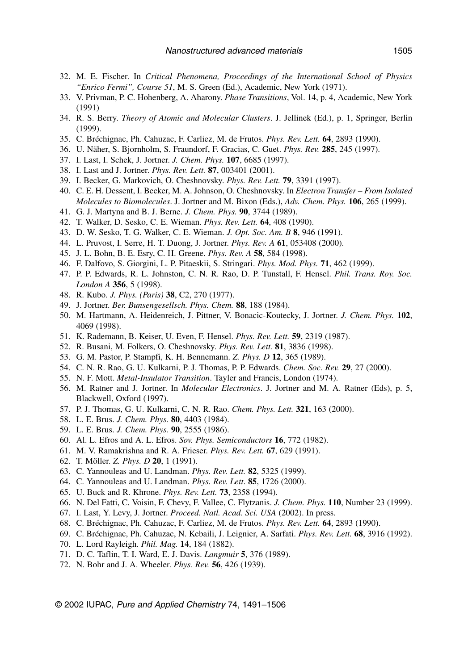- 32. M. E. Fischer. In *Critical Phenomena, Proceedings of the International School of Physics "Enrico Fermi", Course 51*, M. S. Green (Ed.), Academic, New York (1971).
- 33. V. Privman, P. C. Hohenberg, A. Aharony. *Phase Transitions*, Vol. 14, p. 4, Academic, New York (1991)
- 34. R. S. Berry. *Theory of Atomic and Molecular Clusters*. J. Jellinek (Ed.), p. 1, Springer, Berlin (1999).
- 35. C. Bréchignac, Ph. Cahuzac, F. Carliez, M. de Frutos. *Phys. Rev. Lett.* **64**, 2893 (1990).
- 36. U. Näher, S. Bjornholm, S. Fraundorf, F. Gracias, C. Guet. *Phys. Rev.* **285**, 245 (1997).
- 37. I. Last, I. Schek, J. Jortner. *J. Chem. Phys.* **107**, 6685 (1997).
- 38. I. Last and J. Jortner. *Phys. Rev. Lett.* **87**, 003401 (2001).
- 39. I. Becker, G. Markovich, O. Cheshnovsky. *Phys. Rev. Lett.* **79**, 3391 (1997).
- 40. C. E. H. Dessent, I. Becker, M. A. Johnson, O. Cheshnovsky. In *Electron Transfer From Isolated Molecules to Biomolecules*. J. Jortner and M. Bixon (Eds.), *Adv. Chem. Phys.* **106**, 265 (1999).
- 41. G. J. Martyna and B. J. Berne. *J. Chem. Phys.* **90**, 3744 (1989).
- 42. T. Walker, D. Sesko, C. E. Wieman. *Phys. Rev. Lett.* **64**, 408 (1990).
- 43. D. W. Sesko, T. G. Walker, C. E. Wieman. *J. Opt. Soc. Am. B* **8**, 946 (1991).
- 44. L. Pruvost, I. Serre, H. T. Duong, J. Jortner. *Phys. Rev. A* **61**, 053408 (2000).
- 45. J. L. Bohn, B. E. Esry, C. H. Greene. *Phys. Rev. A* **58**, 584 (1998).
- 46. F. Dalfovo, S. Giorgini, L. P. Pitaeskii, S. Stringari. *Phys. Mod. Phys.* **71**, 462 (1999).
- 47. P. P. Edwards, R. L. Johnston, C. N. R. Rao, D. P. Tunstall, F. Hensel. *Phil. Trans. Roy. Soc. London A* **356**, 5 (1998).
- 48. R. Kubo. *J. Phys. (Paris)* **38**, C2, 270 (1977).
- 49. J. Jortner. *Ber. Bunsengesellsch. Phys. Chem.* **88**, 188 (1984).
- 50. M. Hartmann, A. Heidenreich, J. Pittner, V. Bonacic-Koutecky, J. Jortner. *J. Chem. Phys.* **102**, 4069 (1998).
- 51. K. Rademann, B. Keiser, U. Even, F. Hensel. *Phys. Rev. Lett.* **59**, 2319 (1987).
- 52. R. Busani, M. Folkers, O. Cheshnovsky. *Phys. Rev. Lett.* **81**, 3836 (1998).
- 53. G. M. Pastor, P. Stampfi, K. H. Bennemann. *Z. Phys. D* **12**, 365 (1989).
- 54. C. N. R. Rao, G. U. Kulkarni, P. J. Thomas, P. P. Edwards. *Chem. Soc. Rev.* **29**, 27 (2000).
- 55. N. F. Mott. *Metal-Insulator Transition*. Tayler and Francis, London (1974).
- 56. M. Ratner and J. Jortner. In *Molecular Electronics*. J. Jortner and M. A. Ratner (Eds), p. 5, Blackwell, Oxford (1997).
- 57. P. J. Thomas, G. U. Kulkarni, C. N. R. Rao. *Chem. Phys. Lett.* **321**, 163 (2000).
- 58. L. E. Brus. *J. Chem. Phys.* **80**, 4403 (1984).
- 59. L. E. Brus. *J. Chem. Phys.* **90**, 2555 (1986).
- 60. Al. L. Efros and A. L. Efros. *Sov. Phys. Semiconductors* **16**, 772 (1982).
- 61. M. V. Ramakrishna and R. A. Frieser. *Phys. Rev. Lett.* **67**, 629 (1991).
- 62. T. Möller. *Z. Phys. D* **20**, 1 (1991).
- 63. C. Yannouleas and U. Landman. *Phys. Rev. Lett.* **82**, 5325 (1999).
- 64. C. Yannouleas and U. Landman. *Phys. Rev. Lett*. **85**, 1726 (2000).
- 65. U. Buck and R. Khrone. *Phys. Rev. Lett.* **73**, 2358 (1994).
- 66. N. Del Fatti, C. Voisin, F. Chevy, F. Vallee, C. Flytzanis. *J. Chem. Phys.* **110**, Number 23 (1999).
- 67. I. Last, Y. Levy, J. Jortner. *Proceed. Natl. Acad. Sci. USA* (2002). In press.
- 68. C. Bréchignac, Ph. Cahuzac, F. Carliez, M. de Frutos. *Phys. Rev. Lett.* **64**, 2893 (1990).
- 69. C. Bréchignac, Ph. Cahuzac, N. Kebaili, J. Leignier, A. Sarfati. *Phys. Rev. Lett.* **68**, 3916 (1992).
- 70. L. Lord Rayleigh. *Phil. Mag.* **14**, 184 (1882).
- 71. D. C. Taflin, T. I. Ward, E. J. Davis. *Langmuir* **5**, 376 (1989).
- 72. N. Bohr and J. A. Wheeler. *Phys. Rev.* **56**, 426 (1939).